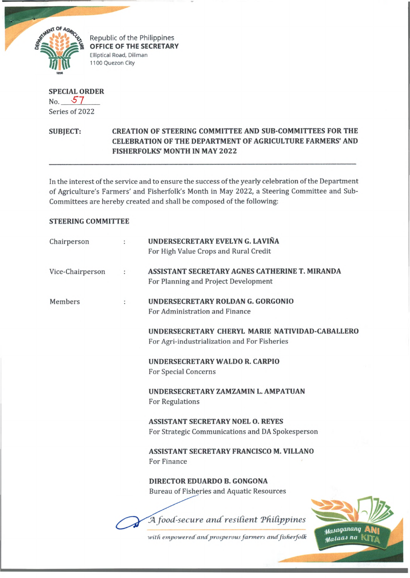

Republic of the Philippines **OFFICE OF THE SECRETARY** Elliptical Road, Diliman 1100 Quezon City

**SPECIAL ORDER** No. *S 7*

Series of 2022

## **SUBJECT: CREATION OF STEERING COMMITTEE AND SUB-COMMITTEES FOR THE CELEBRATION OF THE DEPARTMENT OF AGRICULTURE FARMERS' AND FISHERFOLKS' MONTH IN MAY 2022**

In the interest of the service and to ensure the success of the yearly celebration of the Department of Agriculture's Farmers' and Fisherfolk's Month in May 2022, a Steering Committee and Subcommittees are hereby created and shall be composed of the following:

## **STEERING COMMITTEE**

| Chairperson      | UNDERSECRETARY EVELYN G. LAVIÑA<br>For High Value Crops and Rural Credit                        |  |
|------------------|-------------------------------------------------------------------------------------------------|--|
| Vice-Chairperson | ASSISTANT SECRETARY AGNES CATHERINE T. MIRANDA<br>For Planning and Project Development          |  |
| Members          | UNDERSECRETARY ROLDAN G. GORGONIO<br>For Administration and Finance                             |  |
|                  | UNDERSECRETARY CHERYL MARIE NATIVIDAD-CABALLERO<br>For Agri-industrialization and For Fisheries |  |
|                  | UNDERSECRETARY WALDO R. CARPIO<br><b>For Special Concerns</b>                                   |  |
|                  | UNDERSECRETARY ZAMZAMIN L. AMPATUAN<br><b>For Regulations</b>                                   |  |
|                  | <b>ASSISTANT SECRETARY NOEL O. REYES</b><br>For Strategic Communications and DA Spokesperson    |  |
|                  | <b>ASSISTANT SECRETARY FRANCISCO M. VILLANO</b><br>For Finance                                  |  |
|                  | <b>DIRECTOR EDUARDO B. GONGONA</b><br><b>Bureau of Fisheries and Aquatic Resources</b>          |  |
|                  | A food-secure and resilient Philippines                                                         |  |
|                  | Masaganang<br>with empowered and prosperous farmers and fisherfolk<br>Malaas na                 |  |